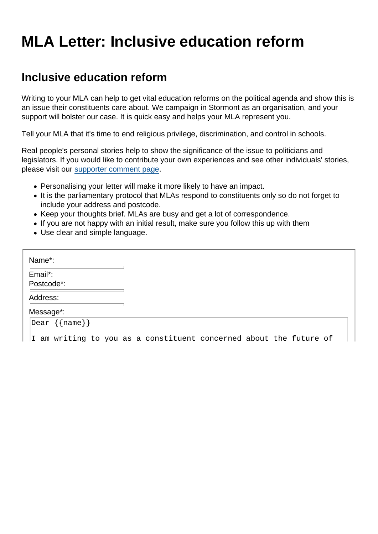## MLA Letter: Inclusive education reform

## Inclusive education reform

Writing to your MLA can help to get vital education reforms on the political agenda and show this is an issue their constituents care about. We campaign in Stormont as an organisation, and your support will bolster our case. It is quick easy and helps your MLA represent you.

Tell your MLA that it's time to end religious privilege, discrimination, and control in schools.

Real people's personal stories help to show the significance of the issue to politicians and legislators. If you would like to contribute your own experiences and see other individuals' stories, please visit our [supporter comment page.](https://www.secularism.org.uk/education/ni-comments.html)

- Personalising your letter will make it more likely to have an impact.
- It is the parliamentary protocol that MLAs respond to constituents only so do not forget to include your address and postcode.
- Keep your thoughts brief. MLAs are busy and get a lot of correspondence.
- If you are not happy with an initial result, make sure you follow this up with them
- Use clear and simple language.

| Name*:                |                                                                    |
|-----------------------|--------------------------------------------------------------------|
| Email*:<br>Postcode*: |                                                                    |
| Address:              |                                                                    |
| Message*:             |                                                                    |
| Dear {{name}}         |                                                                    |
|                       | I am writing to you as a constituent concerned about the future of |